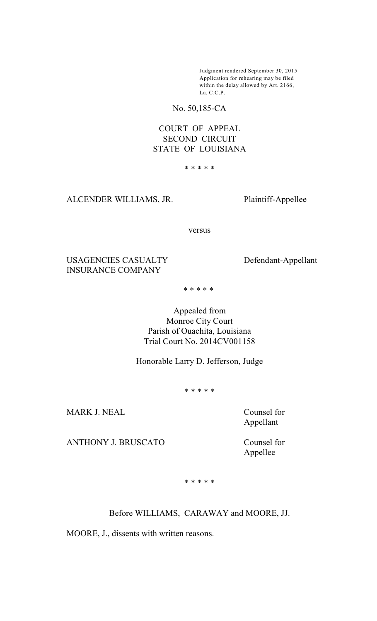Judgment rendered September 30, 2015 Application for rehearing may be filed within the delay allowed by Art. 2166, La. C.C.P.

No. 50,185-CA

# COURT OF APPEAL SECOND CIRCUIT STATE OF LOUISIANA

\* \* \* \* \*

ALCENDER WILLIAMS, JR. Plaintiff-Appellee

versus

USAGENCIES CASUALTY Defendant-Appellant INSURANCE COMPANY

\* \* \* \* \*

Appealed from Monroe City Court Parish of Ouachita, Louisiana Trial Court No. 2014CV001158

Honorable Larry D. Jefferson, Judge

\* \* \* \* \*

MARK J. NEAL Counsel for

Appellant

ANTHONY J. BRUSCATO Counsel for

Appellee

\* \* \* \* \*

Before WILLIAMS, CARAWAY and MOORE, JJ.

MOORE, J., dissents with written reasons.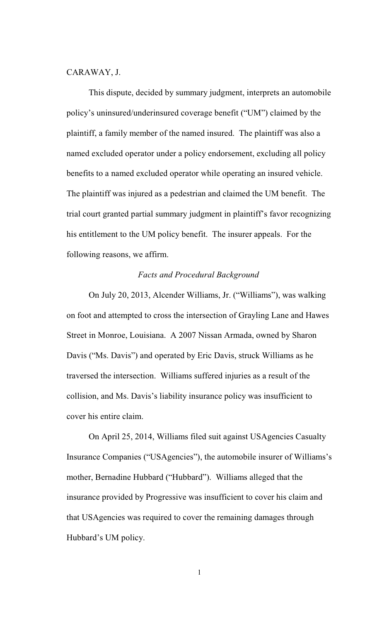#### CARAWAY, J.

This dispute, decided by summary judgment, interprets an automobile policy's uninsured/underinsured coverage benefit ("UM") claimed by the plaintiff, a family member of the named insured. The plaintiff was also a named excluded operator under a policy endorsement, excluding all policy benefits to a named excluded operator while operating an insured vehicle. The plaintiff was injured as a pedestrian and claimed the UM benefit. The trial court granted partial summary judgment in plaintiff's favor recognizing his entitlement to the UM policy benefit. The insurer appeals. For the following reasons, we affirm.

### *Facts and Procedural Background*

On July 20, 2013, Alcender Williams, Jr. ("Williams"), was walking on foot and attempted to cross the intersection of Grayling Lane and Hawes Street in Monroe, Louisiana. A 2007 Nissan Armada, owned by Sharon Davis ("Ms. Davis") and operated by Eric Davis, struck Williams as he traversed the intersection. Williams suffered injuries as a result of the collision, and Ms. Davis's liability insurance policy was insufficient to cover his entire claim.

On April 25, 2014, Williams filed suit against USAgencies Casualty Insurance Companies ("USAgencies"), the automobile insurer of Williams's mother, Bernadine Hubbard ("Hubbard"). Williams alleged that the insurance provided by Progressive was insufficient to cover his claim and that USAgencies was required to cover the remaining damages through Hubbard's UM policy.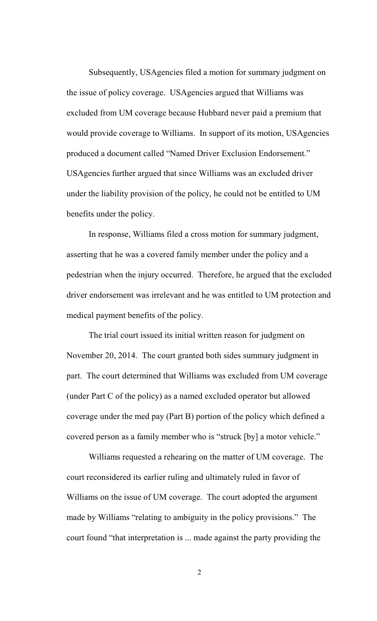Subsequently, USAgencies filed a motion for summary judgment on the issue of policy coverage. USAgencies argued that Williams was excluded from UM coverage because Hubbard never paid a premium that would provide coverage to Williams. In support of its motion, USAgencies produced a document called "Named Driver Exclusion Endorsement." USAgencies further argued that since Williams was an excluded driver under the liability provision of the policy, he could not be entitled to UM benefits under the policy.

In response, Williams filed a cross motion for summary judgment, asserting that he was a covered family member under the policy and a pedestrian when the injury occurred. Therefore, he argued that the excluded driver endorsement was irrelevant and he was entitled to UM protection and medical payment benefits of the policy.

The trial court issued its initial written reason for judgment on November 20, 2014. The court granted both sides summary judgment in part. The court determined that Williams was excluded from UM coverage (under Part C of the policy) as a named excluded operator but allowed coverage under the med pay (Part B) portion of the policy which defined a covered person as a family member who is "struck [by] a motor vehicle."

Williams requested a rehearing on the matter of UM coverage. The court reconsidered its earlier ruling and ultimately ruled in favor of Williams on the issue of UM coverage. The court adopted the argument made by Williams "relating to ambiguity in the policy provisions." The court found "that interpretation is ... made against the party providing the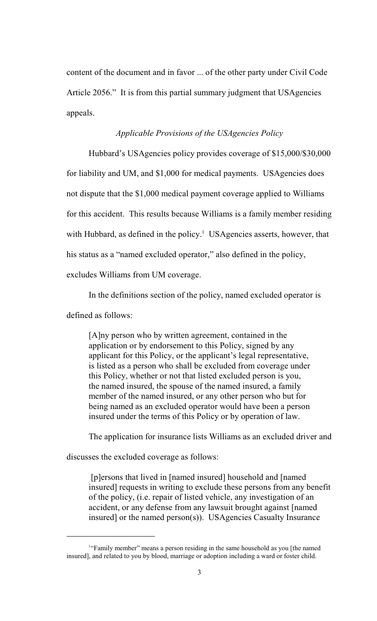content of the document and in favor ... of the other party under Civil Code Article 2056." It is from this partial summary judgment that USAgencies appeals.

### *Applicable Provisions of the USAgencies Policy*

Hubbard's USAgencies policy provides coverage of \$15,000/\$30,000 for liability and UM, and \$1,000 for medical payments. USAgencies does not dispute that the \$1,000 medical payment coverage applied to Williams for this accident. This results because Williams is a family member residing with Hubbard, as defined in the policy.<sup>1</sup> USAgencies asserts, however, that his status as a "named excluded operator," also defined in the policy, excludes Williams from UM coverage.

In the definitions section of the policy, named excluded operator is

defined as follows:

[A]ny person who by written agreement, contained in the application or by endorsement to this Policy, signed by any applicant for this Policy, or the applicant's legal representative, is listed as a person who shall be excluded from coverage under this Policy, whether or not that listed excluded person is you, the named insured, the spouse of the named insured, a family member of the named insured, or any other person who but for being named as an excluded operator would have been a person insured under the terms of this Policy or by operation of law.

The application for insurance lists Williams as an excluded driver and

discusses the excluded coverage as follows:

 [p]ersons that lived in [named insured] household and [named insured] requests in writing to exclude these persons from any benefit of the policy, (i.e. repair of listed vehicle, any investigation of an accident, or any defense from any lawsuit brought against [named insured] or the named person(s)). USAgencies Casualty Insurance

<sup>&</sup>lt;sup>1</sup>"Family member" means a person residing in the same household as you [the named insured], and related to you by blood, marriage or adoption including a ward or foster child.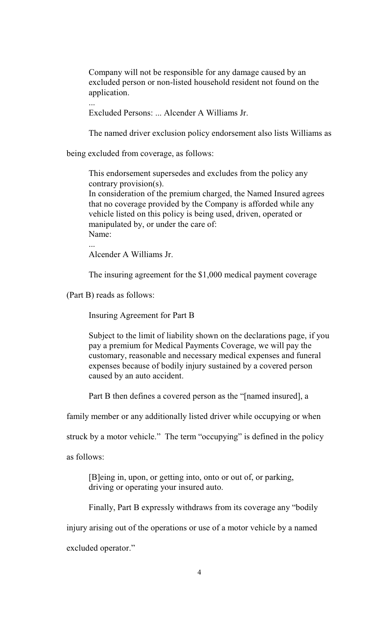Company will not be responsible for any damage caused by an excluded person or non-listed household resident not found on the application.

...

Excluded Persons: ... Alcender A Williams Jr.

The named driver exclusion policy endorsement also lists Williams as

being excluded from coverage, as follows:

This endorsement supersedes and excludes from the policy any contrary provision(s).

In consideration of the premium charged, the Named Insured agrees that no coverage provided by the Company is afforded while any vehicle listed on this policy is being used, driven, operated or manipulated by, or under the care of: Name:

Alcender A Williams Jr.

The insuring agreement for the \$1,000 medical payment coverage

(Part B) reads as follows:

...

Insuring Agreement for Part B

Subject to the limit of liability shown on the declarations page, if you pay a premium for Medical Payments Coverage, we will pay the customary, reasonable and necessary medical expenses and funeral expenses because of bodily injury sustained by a covered person caused by an auto accident.

Part B then defines a covered person as the "[named insured], a

family member or any additionally listed driver while occupying or when

struck by a motor vehicle." The term "occupying" is defined in the policy

as follows:

[B]eing in, upon, or getting into, onto or out of, or parking, driving or operating your insured auto.

Finally, Part B expressly withdraws from its coverage any "bodily

injury arising out of the operations or use of a motor vehicle by a named

excluded operator."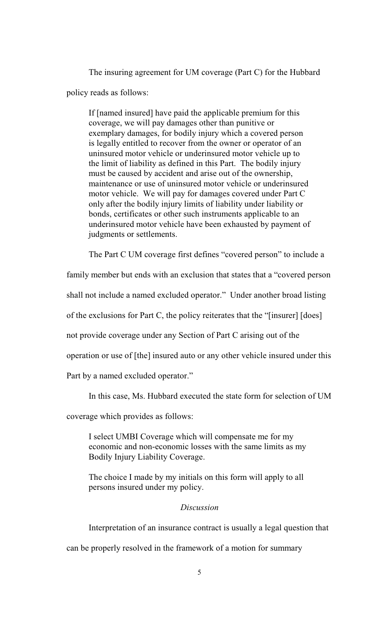The insuring agreement for UM coverage (Part C) for the Hubbard policy reads as follows:

If [named insured] have paid the applicable premium for this coverage, we will pay damages other than punitive or exemplary damages, for bodily injury which a covered person is legally entitled to recover from the owner or operator of an uninsured motor vehicle or underinsured motor vehicle up to the limit of liability as defined in this Part. The bodily injury must be caused by accident and arise out of the ownership, maintenance or use of uninsured motor vehicle or underinsured motor vehicle. We will pay for damages covered under Part C only after the bodily injury limits of liability under liability or bonds, certificates or other such instruments applicable to an underinsured motor vehicle have been exhausted by payment of judgments or settlements.

The Part C UM coverage first defines "covered person" to include a

family member but ends with an exclusion that states that a "covered person

shall not include a named excluded operator." Under another broad listing

of the exclusions for Part C, the policy reiterates that the "[insurer] [does]

not provide coverage under any Section of Part C arising out of the

operation or use of [the] insured auto or any other vehicle insured under this

Part by a named excluded operator."

In this case, Ms. Hubbard executed the state form for selection of UM

coverage which provides as follows:

I select UMBI Coverage which will compensate me for my economic and non-economic losses with the same limits as my Bodily Injury Liability Coverage.

The choice I made by my initials on this form will apply to all persons insured under my policy.

### *Discussion*

Interpretation of an insurance contract is usually a legal question that

can be properly resolved in the framework of a motion for summary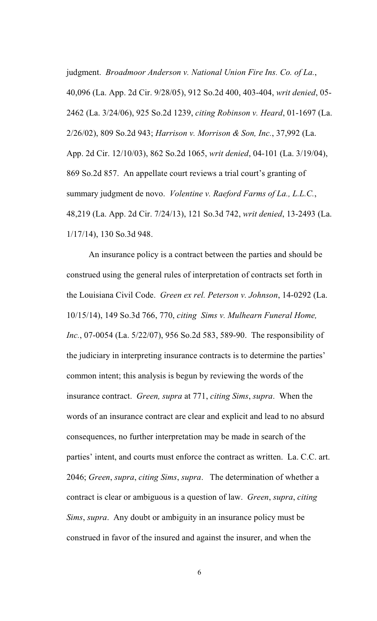judgment. *Broadmoor Anderson v. National Union Fire Ins. Co. of La.*, 40,096 (La. App. 2d Cir. 9/28/05), 912 So.2d 400, 403-404, *writ denied*, 05- 2462 (La. 3/24/06), 925 So.2d 1239, *citing Robinson v. Heard*, 01-1697 (La. 2/26/02), 809 So.2d 943; *Harrison v. Morrison & Son, Inc.*, 37,992 (La. App. 2d Cir. 12/10/03), 862 So.2d 1065, *writ denied*, 04-101 (La. 3/19/04), 869 So.2d 857. An appellate court reviews a trial court's granting of summary judgment de novo. *Volentine v. Raeford Farms of La., L.L.C.*, 48,219 (La. App. 2d Cir. 7/24/13), 121 So.3d 742, *writ denied*, 13-2493 (La. 1/17/14), 130 So.3d 948.

An insurance policy is a contract between the parties and should be construed using the general rules of interpretation of contracts set forth in the Louisiana Civil Code. *Green ex rel. Peterson v. Johnson*, 14-0292 (La. 10/15/14), 149 So.3d 766, 770, *citing Sims v. Mulhearn Funeral Home, Inc.*, 07-0054 (La. 5/22/07), 956 So.2d 583, 589-90. The responsibility of the judiciary in interpreting insurance contracts is to determine the parties' common intent; this analysis is begun by reviewing the words of the insurance contract. *Green, supra* at 771, *citing Sims*, *supra*. When the words of an insurance contract are clear and explicit and lead to no absurd consequences, no further interpretation may be made in search of the parties' intent, and courts must enforce the contract as written. La. C.C. art. 2046; *Green*, *supra*, *citing Sims*, *supra*. The determination of whether a contract is clear or ambiguous is a question of law. *Green*, *supra*, *citing Sims*, *supra*. Any doubt or ambiguity in an insurance policy must be construed in favor of the insured and against the insurer, and when the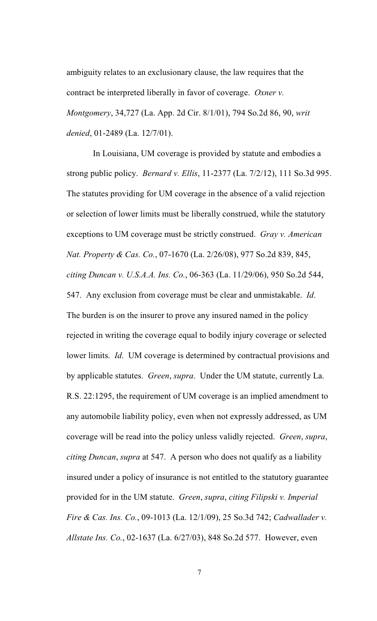ambiguity relates to an exclusionary clause, the law requires that the contract be interpreted liberally in favor of coverage. *Oxner v. Montgomery*, 34,727 (La. App. 2d Cir. 8/1/01), 794 So.2d 86, 90, *writ denied*, 01-2489 (La. 12/7/01).

 In Louisiana, UM coverage is provided by statute and embodies a strong public policy. *Bernard v. Ellis*, 11-2377 (La. 7/2/12), 111 So.3d 995. The statutes providing for UM coverage in the absence of a valid rejection or selection of lower limits must be liberally construed, while the statutory exceptions to UM coverage must be strictly construed. *Gray v. American Nat. Property & Cas. Co.*, 07-1670 (La. 2/26/08), 977 So.2d 839, 845, *citing Duncan v. U.S.A.A. Ins. Co.*, 06-363 (La. 11/29/06), 950 So.2d 544, 547. Any exclusion from coverage must be clear and unmistakable. *Id*. The burden is on the insurer to prove any insured named in the policy rejected in writing the coverage equal to bodily injury coverage or selected lower limits. *Id*. UM coverage is determined by contractual provisions and by applicable statutes. *Green*, *supra*. Under the UM statute, currently La. R.S. 22:1295, the requirement of UM coverage is an implied amendment to any automobile liability policy, even when not expressly addressed, as UM coverage will be read into the policy unless validly rejected. *Green*, *supra*, *citing Duncan*, *supra* at 547. A person who does not qualify as a liability insured under a policy of insurance is not entitled to the statutory guarantee provided for in the UM statute. *Green*, *supra*, *citing Filipski v. Imperial Fire & Cas. Ins. Co.*, 09-1013 (La. 12/1/09), 25 So.3d 742; *Cadwallader v. Allstate Ins. Co.*, 02-1637 (La. 6/27/03), 848 So.2d 577. However, even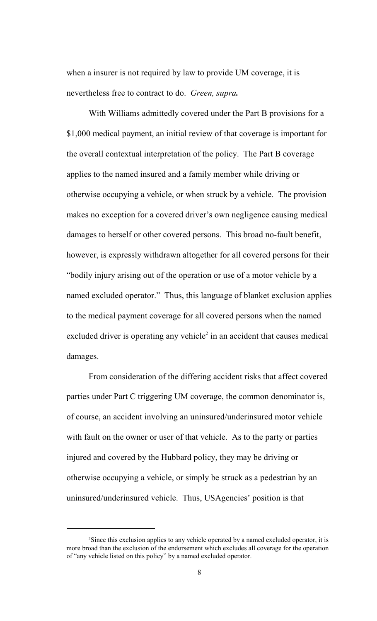when a insurer is not required by law to provide UM coverage, it is nevertheless free to contract to do. *Green, supra.*

With Williams admittedly covered under the Part B provisions for a \$1,000 medical payment, an initial review of that coverage is important for the overall contextual interpretation of the policy. The Part B coverage applies to the named insured and a family member while driving or otherwise occupying a vehicle, or when struck by a vehicle. The provision makes no exception for a covered driver's own negligence causing medical damages to herself or other covered persons. This broad no-fault benefit, however, is expressly withdrawn altogether for all covered persons for their "bodily injury arising out of the operation or use of a motor vehicle by a named excluded operator." Thus, this language of blanket exclusion applies to the medical payment coverage for all covered persons when the named excluded driver is operating any vehicle<sup>2</sup> in an accident that causes medical damages.

From consideration of the differing accident risks that affect covered parties under Part C triggering UM coverage, the common denominator is, of course, an accident involving an uninsured/underinsured motor vehicle with fault on the owner or user of that vehicle. As to the party or parties injured and covered by the Hubbard policy, they may be driving or otherwise occupying a vehicle, or simply be struck as a pedestrian by an uninsured/underinsured vehicle. Thus, USAgencies' position is that

<sup>&</sup>lt;sup>2</sup>Since this exclusion applies to any vehicle operated by a named excluded operator, it is more broad than the exclusion of the endorsement which excludes all coverage for the operation of "any vehicle listed on this policy" by a named excluded operator.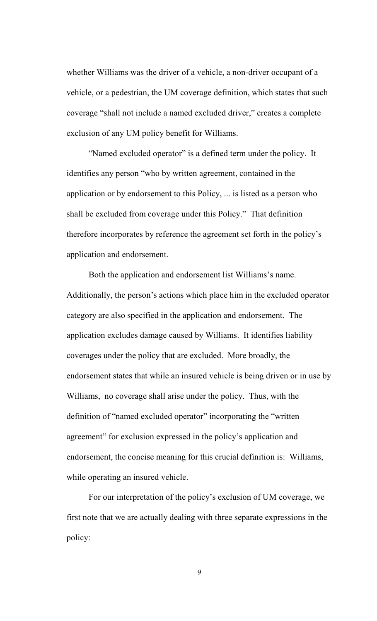whether Williams was the driver of a vehicle, a non-driver occupant of a vehicle, or a pedestrian, the UM coverage definition, which states that such coverage "shall not include a named excluded driver," creates a complete exclusion of any UM policy benefit for Williams.

"Named excluded operator" is a defined term under the policy. It identifies any person "who by written agreement, contained in the application or by endorsement to this Policy, ... is listed as a person who shall be excluded from coverage under this Policy." That definition therefore incorporates by reference the agreement set forth in the policy's application and endorsement.

Both the application and endorsement list Williams's name. Additionally, the person's actions which place him in the excluded operator category are also specified in the application and endorsement. The application excludes damage caused by Williams. It identifies liability coverages under the policy that are excluded. More broadly, the endorsement states that while an insured vehicle is being driven or in use by Williams, no coverage shall arise under the policy. Thus, with the definition of "named excluded operator" incorporating the "written agreement" for exclusion expressed in the policy's application and endorsement, the concise meaning for this crucial definition is: Williams, while operating an insured vehicle.

For our interpretation of the policy's exclusion of UM coverage, we first note that we are actually dealing with three separate expressions in the policy: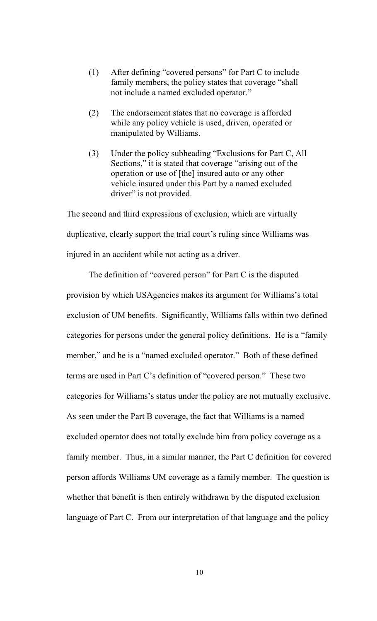- (1) After defining "covered persons" for Part C to include family members, the policy states that coverage "shall not include a named excluded operator."
- (2) The endorsement states that no coverage is afforded while any policy vehicle is used, driven, operated or manipulated by Williams.
- (3) Under the policy subheading "Exclusions for Part C, All Sections," it is stated that coverage "arising out of the operation or use of [the] insured auto or any other vehicle insured under this Part by a named excluded driver" is not provided.

The second and third expressions of exclusion, which are virtually duplicative, clearly support the trial court's ruling since Williams was injured in an accident while not acting as a driver.

The definition of "covered person" for Part C is the disputed provision by which USAgencies makes its argument for Williams's total exclusion of UM benefits. Significantly, Williams falls within two defined categories for persons under the general policy definitions. He is a "family member," and he is a "named excluded operator." Both of these defined terms are used in Part C's definition of "covered person." These two categories for Williams's status under the policy are not mutually exclusive. As seen under the Part B coverage, the fact that Williams is a named excluded operator does not totally exclude him from policy coverage as a family member. Thus, in a similar manner, the Part C definition for covered person affords Williams UM coverage as a family member. The question is whether that benefit is then entirely withdrawn by the disputed exclusion language of Part C. From our interpretation of that language and the policy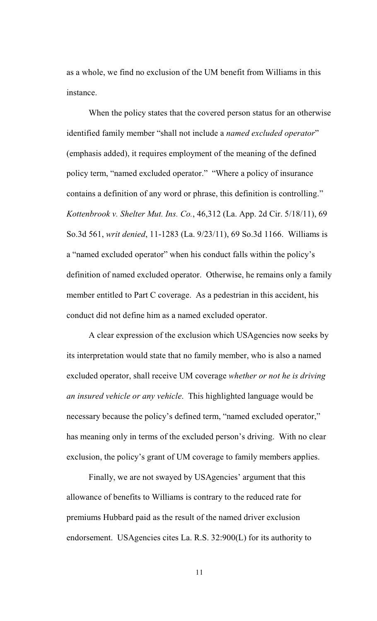as a whole, we find no exclusion of the UM benefit from Williams in this instance.

When the policy states that the covered person status for an otherwise identified family member "shall not include a *named excluded operator*" (emphasis added), it requires employment of the meaning of the defined policy term, "named excluded operator." "Where a policy of insurance contains a definition of any word or phrase, this definition is controlling." *Kottenbrook v. Shelter Mut. Ins. Co.*, 46,312 (La. App. 2d Cir. 5/18/11), 69 So.3d 561, *writ denied*, 11-1283 (La. 9/23/11), 69 So.3d 1166. Williams is a "named excluded operator" when his conduct falls within the policy's definition of named excluded operator. Otherwise, he remains only a family member entitled to Part C coverage. As a pedestrian in this accident, his conduct did not define him as a named excluded operator.

A clear expression of the exclusion which USAgencies now seeks by its interpretation would state that no family member, who is also a named excluded operator, shall receive UM coverage *whether or not he is driving an insured vehicle or any vehicle*. This highlighted language would be necessary because the policy's defined term, "named excluded operator," has meaning only in terms of the excluded person's driving. With no clear exclusion, the policy's grant of UM coverage to family members applies.

Finally, we are not swayed by USAgencies' argument that this allowance of benefits to Williams is contrary to the reduced rate for premiums Hubbard paid as the result of the named driver exclusion endorsement. USAgencies cites La. R.S. 32:900(L) for its authority to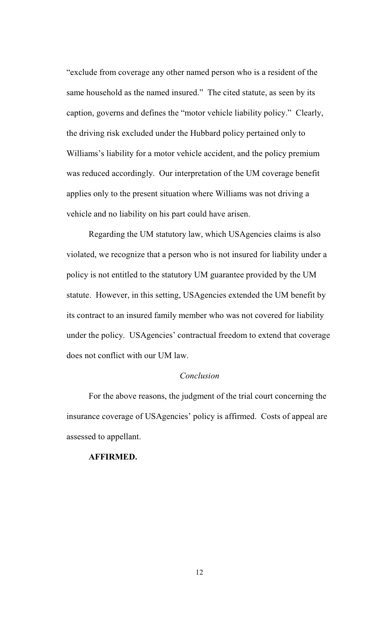"exclude from coverage any other named person who is a resident of the same household as the named insured." The cited statute, as seen by its caption, governs and defines the "motor vehicle liability policy." Clearly, the driving risk excluded under the Hubbard policy pertained only to Williams's liability for a motor vehicle accident, and the policy premium was reduced accordingly. Our interpretation of the UM coverage benefit applies only to the present situation where Williams was not driving a vehicle and no liability on his part could have arisen.

Regarding the UM statutory law, which USAgencies claims is also violated, we recognize that a person who is not insured for liability under a policy is not entitled to the statutory UM guarantee provided by the UM statute. However, in this setting, USAgencies extended the UM benefit by its contract to an insured family member who was not covered for liability under the policy. USAgencies' contractual freedom to extend that coverage does not conflict with our UM law.

## *Conclusion*

For the above reasons, the judgment of the trial court concerning the insurance coverage of USAgencies' policy is affirmed. Costs of appeal are assessed to appellant.

### **AFFIRMED.**